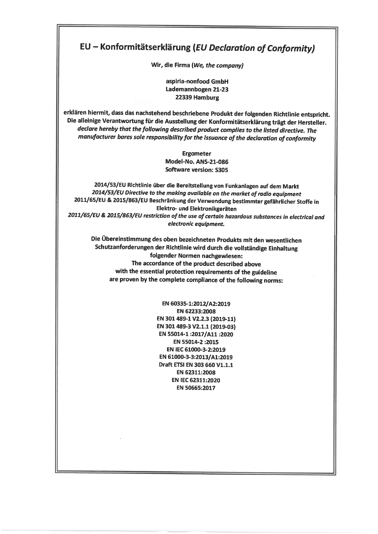## EU - Konform itätserklärung [EU Declaration of Conformity)

Wir, die Firma (We, the company)

aspiria-nonfood GmbH Lademannbogen 21-23 22339 Hamburg

erklären hiermit, dass das nachstehend beschriebene Produkt der folgenden Richtlinie entspricht. Die alleinige Verantwortung für die Ausstellung der Konformitätserklärung trägt der Hersteller. declare hereby that the following described product complies to the listed directive. The manufacturer bares sole responsibility for the issuance of the declaration of conformity

> Ergometer Model-No. ANS-21-086 Software Version: S305

2014/53/EU Richtlinie über die Bereitstellung von Funkanlagen auf dem Markt 2014/53/EU Directive to the making available on the market of radio equipment 2011/65/EU & 2015/863/EU Beschränkung der Verwendung bestimmter gefährlicher Stoffe in Elektro- und Elektronikgeräten 2011/65/EU & 2015/863/EU restriction of the use of certain hazardous substances in electrical and electronic equipment.

Die Übereinstimmung des oben bezeichneten Produkts mit den wesentlichen Schutzanforderungen der Richtlinie wird durch die vollständige Einhaltung folgender Normen nachgewiesen: The accordance of the product described above with the essential protection requirements of the guideline are proven by the complete compliance of the following norms:

> EN 60335-1:2012/A2:2019 EN 62233:2008 EN 301489-1 V2.2.3 (2019-11) EN 301 489-3 V2.1.1 (2019-03) EN 55014-1:2017/A11:2020 EN 55014-2 :2015 EN IEC 61000-3-2:2019 EN 61000-3-3:2013/A1:2019 Draft ETSI EN 303 660 V1.1.1 EN 62311:2008 EN IEC 62311:2020 EN 50665:2017